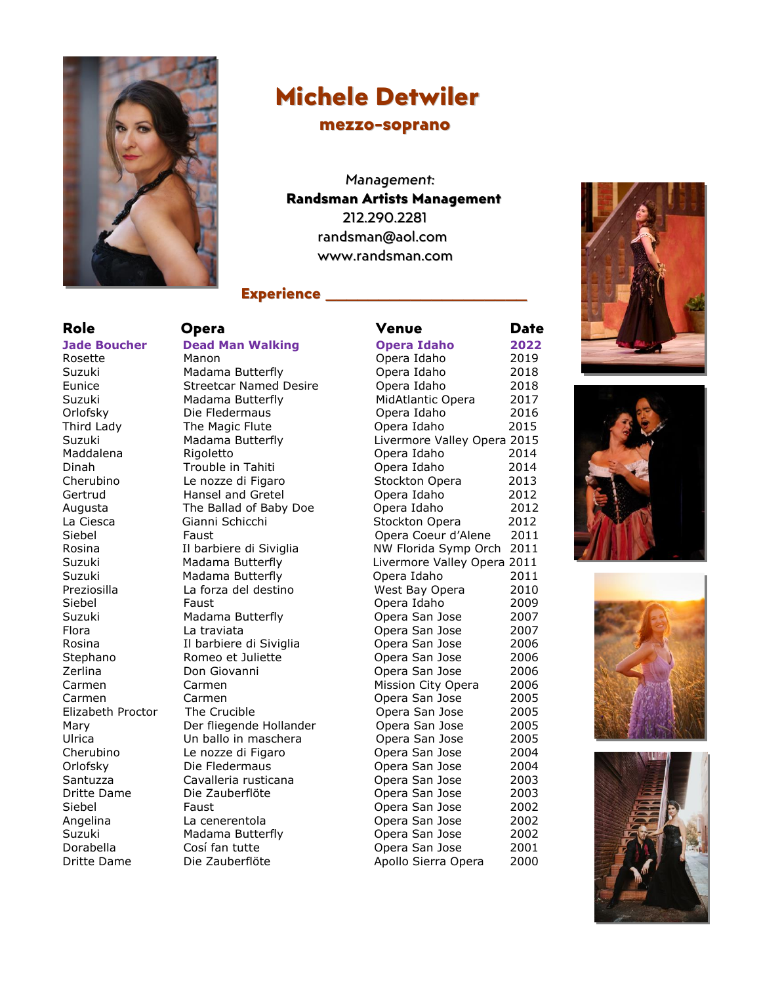

# **Michele Detwiler**

### **mezzo-soprano**

*Management:* **Randsman Artists Management** 212.290.2281 randsman@aol.com www.randsman.com

## **Experience \_\_\_\_\_\_\_\_\_\_\_\_\_\_\_\_\_\_\_**

**Role Opera Venue Date Jade Boucher Dead Man Walking Opera Idaho 2022** Rosette Manon Opera Idaho 2019 Suzuki Madama Butterfly Opera Idaho 2018 Eunice Streetcar Named Desire Opera Idaho 2018 Suzuki Madama Butterfly MidAtlantic Opera 2017 Orlofsky Die Fledermaus Opera Idaho 2016 Third Lady The Magic Flute Opera Idaho 2015 Suzuki Madama Butterfly Livermore Valley Opera 2015 Maddalena Rigoletto Opera Idaho 2014 Dinah Trouble in Tahiti Opera Idaho 2014 Cherubino Le nozze di Figaro Stockton Opera 2013 Hansel and Gretel **Containers** Opera Idaho 2012 Augusta The Ballad of Baby Doe Opera Idaho 2012 La Ciesca Gianni Schicchi Stockton Opera 2012 Siebel Faust Opera Coeur d'Alene 2011 Rosina **Il barbiere di Siviglia** NW Florida Symp Orch 2011 Suzuki Madama Butterfly Livermore Valley Opera 2011 Suzuki Madama Butterfly Opera Idaho 2011 Preziosilla La forza del destino West Bay Opera 2010 Siebel Faust Opera Idaho 2009 Suzuki Madama Butterfly Opera San Jose 2007 Flora La traviata Opera San Jose 2007 Rosina Il barbiere di Siviglia Opera San Jose 2006 Stephano **Romeo et Juliette Conservant Conservant Conservant Conservant Conservant Conservant Conservant Conservant Conservant Conservant Conservant Conservant Conservant Conservant Conservant Conservant Conservant Conse** Zerlina Don Giovanni Opera San Jose 2006 Carmen Carmen Mission City Opera 2006 Carmen Carmen Opera San Jose 2005 Elizabeth Proctor The Crucible **Crucible Crucible** Opera San Jose 2005 Mary Der fliegende Hollander Opera San Jose 2005 Ulrica Un ballo in maschera Opera San Jose 2005 Cherubino Le nozze di Figaro Opera San Jose 2004 Orlofsky Die Fledermaus Opera San Jose 2004 Santuzza Cavalleria rusticana Opera San Jose 2003 Dritte Dame Die Zauberflöte Opera San Jose 2003 Siebel Faust Opera San Jose 2002 Angelina La cenerentola Opera San Jose 2002 Suzuki Madama Butterfly Opera San Jose 2002 Dorabella Cosí fan tutte Cose Dopera San Jose 2001 Dritte Dame Die Zauberflöte Apollo Sierra Opera 2000